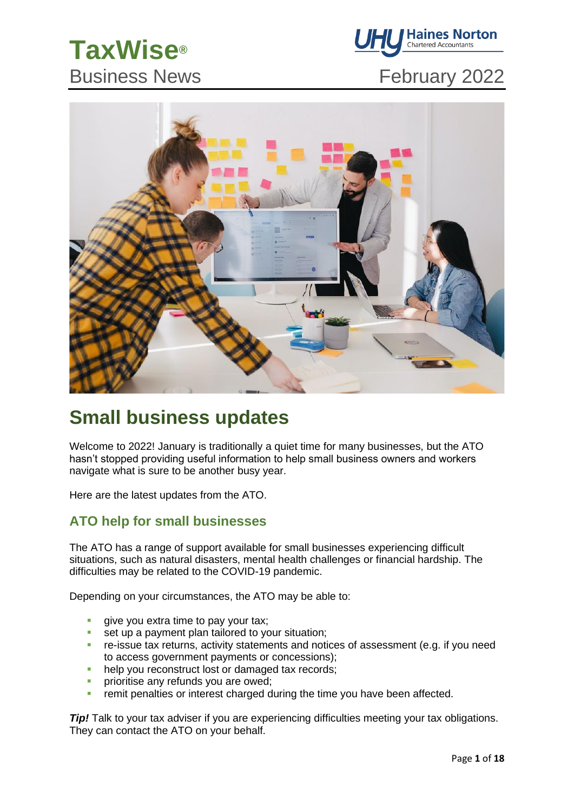# **TaxWise®** Business News **February 2022**





### **Small business updates**

Welcome to 2022! January is traditionally a quiet time for many businesses, but the ATO hasn't stopped providing useful information to help small business owners and workers navigate what is sure to be another busy year.

Here are the latest updates from the ATO.

### **ATO help for small businesses**

The ATO has a range of support available for small businesses experiencing difficult situations, such as natural disasters, mental health challenges or financial hardship. The difficulties may be related to the COVID-19 pandemic.

Depending on your circumstances, the ATO may be able to:

- give you extra time to pay your tax;<br>■ set up a payment plan tailored to your
- set up a payment plan tailored to your situation:
- **EXECT** re-issue tax returns, activity statements and notices of assessment (e.g. if you need to access government payments or concessions);
- **help you reconstruct lost or damaged tax records;**
- prioritise any refunds you are owed;
- **•** remit penalties or interest charged during the time you have been affected.

*Tip!* Talk to your tax adviser if you are experiencing difficulties meeting your tax obligations. They can contact the ATO on your behalf.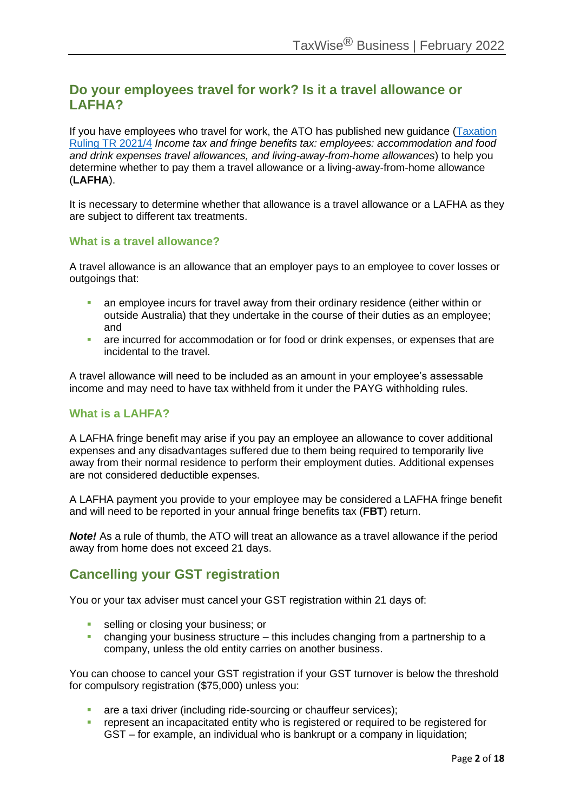### **Do your employees travel for work? Is it a travel allowance or LAFHA?**

If you have employees who travel for work, the ATO has published new guidance [\(Taxation](https://www.ato.gov.au/law/view/document?DocID=TXR/TR20214/NAT/ATO/00001&PiT=99991231235958)  [Ruling TR 2021/4](https://www.ato.gov.au/law/view/document?DocID=TXR/TR20214/NAT/ATO/00001&PiT=99991231235958) *Income tax and fringe benefits tax: employees: accommodation and food and drink expenses travel allowances, and living-away-from-home allowances*) to help you determine whether to pay them a travel allowance or a living-away-from-home allowance (**LAFHA**).

It is necessary to determine whether that allowance is a travel allowance or a LAFHA as they are subject to different tax treatments.

#### **What is a travel allowance?**

A travel allowance is an allowance that an employer pays to an employee to cover losses or outgoings that:

- an employee incurs for travel away from their ordinary residence (either within or outside Australia) that they undertake in the course of their duties as an employee; and
- **EXP** are incurred for accommodation or for food or drink expenses, or expenses that are incidental to the travel.

A travel allowance will need to be included as an amount in your employee's assessable income and may need to have tax withheld from it under the PAYG withholding rules.

#### **What is a LAHFA?**

A LAFHA fringe benefit may arise if you pay an employee an allowance to cover additional expenses and any disadvantages suffered due to them being required to temporarily live away from their normal residence to perform their employment duties. Additional expenses are not considered deductible expenses.

A LAFHA payment you provide to your employee may be considered a LAFHA fringe benefit and will need to be reported in your annual fringe benefits tax (**FBT**) return.

*Note!* As a rule of thumb, the ATO will treat an allowance as a travel allowance if the period away from home does not exceed 21 days.

### **Cancelling your GST registration**

You or your tax adviser must cancel your GST registration within 21 days of:

- selling or closing your business; or
- changing your business structure  $-$  this includes changing from a partnership to a company, unless the old entity carries on another business.

You can choose to cancel your GST registration if your GST turnover is below the threshold for compulsory registration (\$75,000) unless you:

- are a taxi driver (including ride-sourcing or chauffeur services);
- **EXECTED FEDERATIONS I** represent an incapacitated entity who is reqistered or required to be registered for GST – for example, an individual who is bankrupt or a company in liquidation;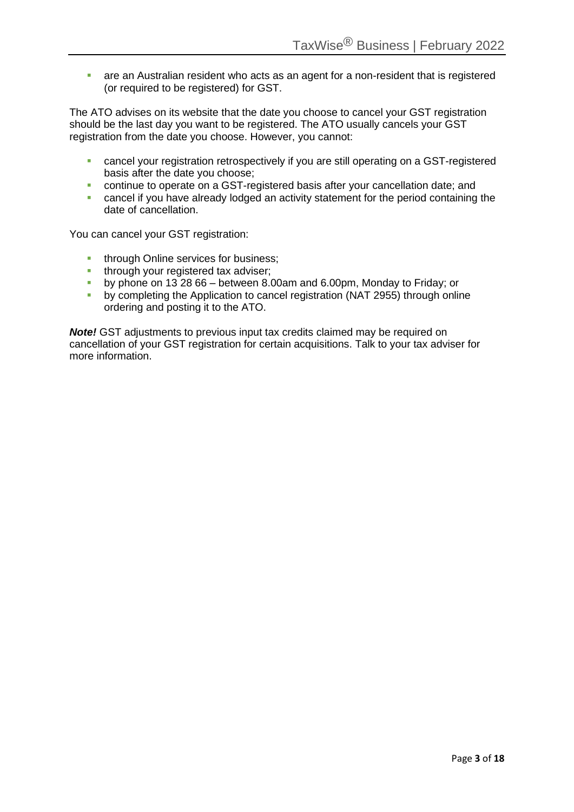■ are an Australian resident who acts as an agent for a non-resident that is registered (or required to be registered) for GST.

The ATO advises on its website that the date you choose to cancel your GST registration should be the last day you want to be registered. The ATO usually cancels your GST registration from the date you choose. However, you cannot:

- **cancel your registration retrospectively if you are still operating on a GST-registered** basis after the date you choose;
- continue to operate on a GST-registered basis after your cancellation date; and
- cancel if you have already lodged an activity statement for the period containing the date of cancellation.

You can cancel your GST registration:

- **■** through Online services for business;
- through your registered tax adviser;
- by phone on 13 28 66 between 8.00am and 6.00pm, Monday to Friday; or
- by completing the Application to cancel registration (NAT 2955) through online ordering and posting it to the ATO.

*Note!* GST adjustments to previous input tax credits claimed may be required on cancellation of your GST registration for certain acquisitions. Talk to your tax adviser for more information.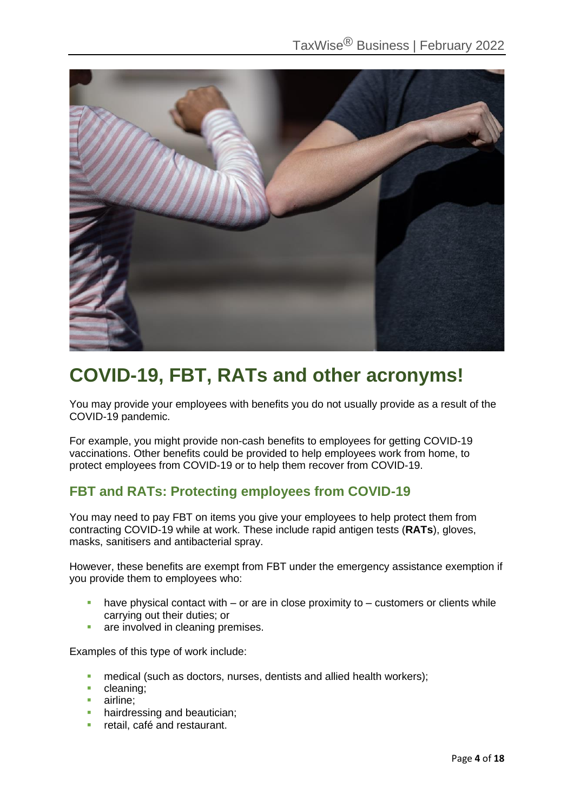

### **COVID-19, FBT, RATs and other acronyms!**

You may provide your employees with benefits you do not usually provide as a result of the COVID-19 pandemic.

For example, you might provide non-cash benefits to employees for getting COVID-19 vaccinations. Other benefits could be provided to help employees work from home, to protect employees from COVID-19 or to help them recover from COVID-19.

### **FBT and RATs: Protecting employees from COVID-19**

You may need to pay FBT on items you give your employees to help protect them from contracting COVID-19 while at work. These include rapid antigen tests (**RATs**), gloves, masks, sanitisers and antibacterial spray.

However, these benefits are exempt from FBT under the emergency assistance exemption if you provide them to employees who:

- $\blacksquare$  have physical contact with or are in close proximity to customers or clients while carrying out their duties; or
- are involved in cleaning premises.

Examples of this type of work include:

- medical (such as doctors, nurses, dentists and allied health workers);
- cleaning;
- airline;
- **•** hairdressing and beautician;
- **·** retail, café and restaurant.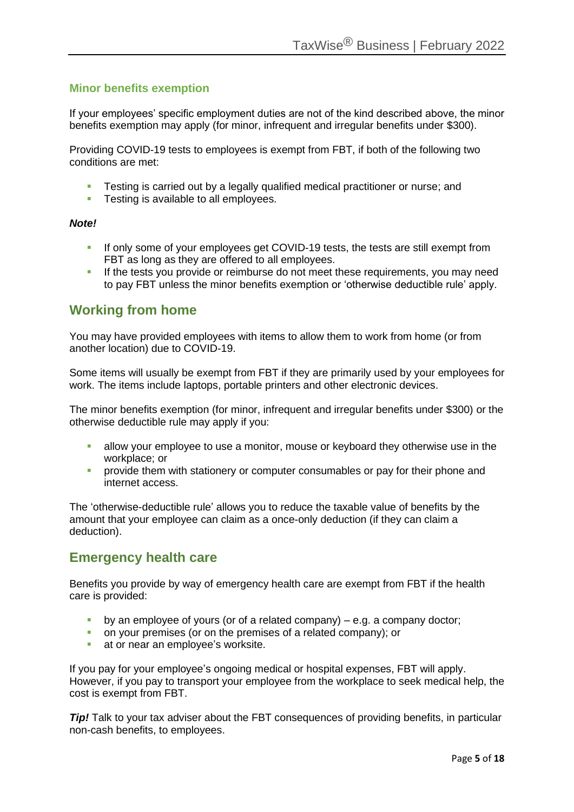#### **Minor benefits exemption**

If your employees' specific employment duties are not of the kind described above, the minor benefits exemption may apply (for minor, infrequent and irregular benefits under \$300).

Providing COVID-19 tests to employees is exempt from FBT, if both of the following two conditions are met:

- **EXECT** Testing is carried out by a legally qualified medical practitioner or nurse; and
- **EXECTE:** Testing is available to all employees.

#### *Note!*

- **EXECT** If only some of your employees get COVID-19 tests, the tests are still exempt from FBT as long as they are offered to all employees.
- **EXECT** If the tests you provide or reimburse do not meet these requirements, you may need to pay FBT unless the minor benefits exemption or 'otherwise deductible rule' apply.

### **Working from home**

You may have provided employees with items to allow them to work from home (or from another location) due to COVID-19.

Some items will usually be exempt from FBT if they are primarily used by your employees for work. The items include laptops, portable printers and other electronic devices.

The minor benefits exemption (for minor, infrequent and irregular benefits under \$300) or the otherwise deductible rule may apply if you:

- allow your employee to use a monitor, mouse or keyboard they otherwise use in the workplace; or
- **•** provide them with stationery or computer consumables or pay for their phone and internet access.

The 'otherwise-deductible rule' allows you to reduce the taxable value of benefits by the amount that your employee can claim as a once-only deduction (if they can claim a deduction).

### **Emergency health care**

Benefits you provide by way of emergency health care are exempt from FBT if the health care is provided:

- $\bullet$  by an employee of yours (or of a related company) e.g. a company doctor;
- on your premises (or on the premises of a related company); or
- at or near an employee's worksite.

If you pay for your employee's ongoing medical or hospital expenses, FBT will apply. However, if you pay to transport your employee from the workplace to seek medical help, the cost is exempt from FBT.

**Tip!** Talk to your tax adviser about the FBT consequences of providing benefits, in particular non-cash benefits, to employees.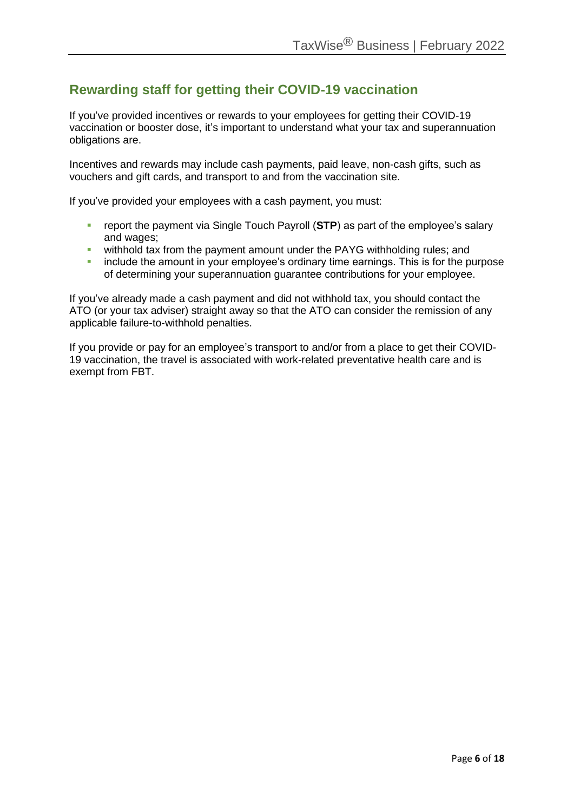### **Rewarding staff for getting their COVID-19 vaccination**

If you've provided incentives or rewards to your employees for getting their COVID-19 vaccination or booster dose, it's important to understand what your tax and superannuation obligations are.

Incentives and rewards may include cash payments, paid leave, non-cash gifts, such as vouchers and gift cards, and transport to and from the vaccination site.

If you've provided your employees with a cash payment, you must:

- report the payment via Single Touch Payroll (STP) as part of the employee's salary and wages;
- **E** withhold tax from the payment amount under the PAYG withholding rules; and
- **•** include the amount in your employee's ordinary time earnings. This is for the purpose of determining your superannuation guarantee contributions for your employee.

If you've already made a cash payment and did not withhold tax, you should contact the ATO (or your tax adviser) straight away so that the ATO can consider the remission of any applicable failure-to-withhold penalties.

If you provide or pay for an employee's transport to and/or from a place to get their COVID-19 vaccination, the travel is associated with work-related preventative health care and is exempt from FBT.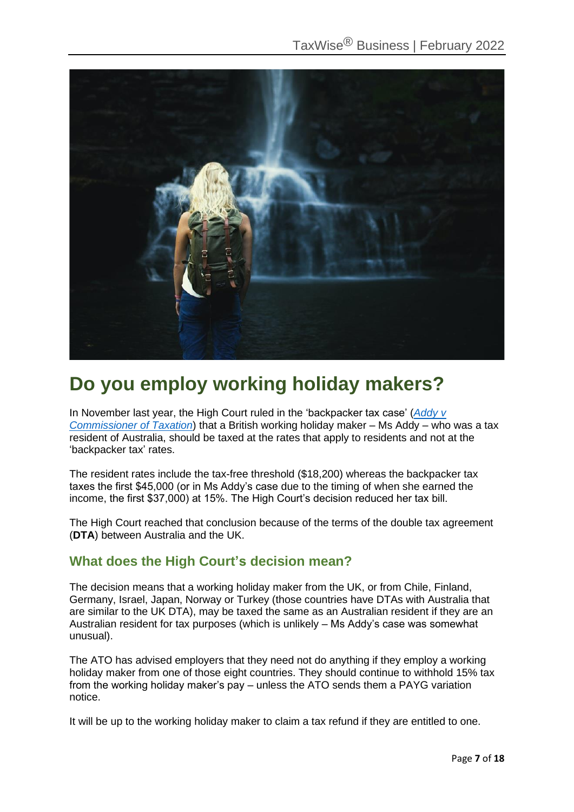

### **Do you employ working holiday makers?**

In November last year, the High Court ruled in the 'backpacker tax case' (*[Addy v](https://www.austlii.edu.au/cgi-bin/viewdoc/au/cases/cth/HCA/2021/34.html)  [Commissioner of Taxation](https://www.austlii.edu.au/cgi-bin/viewdoc/au/cases/cth/HCA/2021/34.html)*) that a British working holiday maker – Ms Addy – who was a tax resident of Australia, should be taxed at the rates that apply to residents and not at the 'backpacker tax' rates.

The resident rates include the tax-free threshold (\$18,200) whereas the backpacker tax taxes the first \$45,000 (or in Ms Addy's case due to the timing of when she earned the income, the first \$37,000) at 15%. The High Court's decision reduced her tax bill.

The High Court reached that conclusion because of the terms of the double tax agreement (**DTA**) between Australia and the UK.

### **What does the High Court's decision mean?**

The decision means that a working holiday maker from the UK, or from Chile, Finland, Germany, Israel, Japan, Norway or Turkey (those countries have DTAs with Australia that are similar to the UK DTA), may be taxed the same as an Australian resident if they are an Australian resident for tax purposes (which is unlikely – Ms Addy's case was somewhat unusual).

The ATO has advised employers that they need not do anything if they employ a working holiday maker from one of those eight countries. They should continue to withhold 15% tax from the working holiday maker's pay – unless the ATO sends them a PAYG variation notice.

It will be up to the working holiday maker to claim a tax refund if they are entitled to one.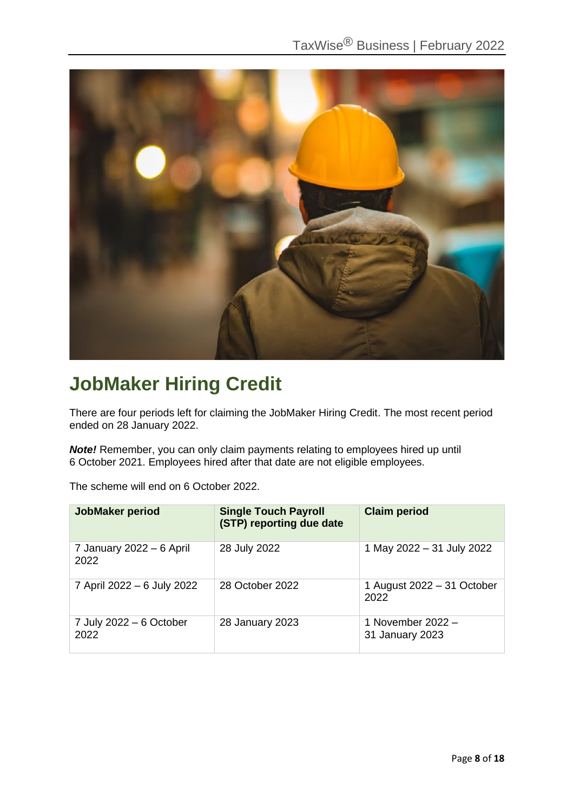

### **JobMaker Hiring Credit**

There are four periods left for claiming the JobMaker Hiring Credit. The most recent period ended on 28 January 2022.

*Note!* Remember, you can only claim payments relating to employees hired up until 6 October 2021. Employees hired after that date are not eligible employees.

The scheme will end on 6 October 2022.

| <b>JobMaker period</b>           | <b>Single Touch Payroll</b><br>(STP) reporting due date | <b>Claim period</b>                  |
|----------------------------------|---------------------------------------------------------|--------------------------------------|
| 7 January 2022 - 6 April<br>2022 | 28 July 2022                                            | 1 May 2022 - 31 July 2022            |
| 7 April 2022 - 6 July 2022       | 28 October 2022                                         | 1 August 2022 - 31 October<br>2022   |
| 7 July 2022 - 6 October<br>2022  | 28 January 2023                                         | 1 November 2022 -<br>31 January 2023 |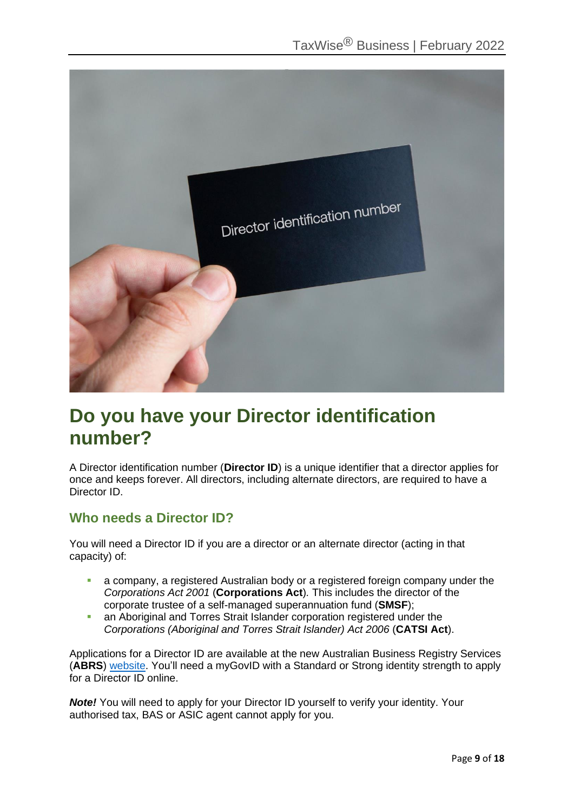

### **Do you have your Director identification number?**

A Director identification number (**Director ID**) is a unique identifier that a director applies for once and keeps forever. All directors, including alternate directors, are required to have a Director ID.

### **Who needs a Director ID?**

You will need a Director ID if you are a director or an alternate director (acting in that capacity) of:

- **EXT** a company, a registered Australian body or a registered foreign company under the *Corporations Act 2001* (**Corporations Act**)*.* This includes the director of the corporate trustee of a self-managed superannuation fund (**SMSF**);
- **an Aboriginal and Torres Strait Islander corporation registered under the** *Corporations (Aboriginal and Torres Strait Islander) Act 2006* (**CATSI Act**).

Applications for a Director ID are available at the new Australian Business Registry Services (**ABRS**) [website.](https://www.abrs.gov.au/) You'll need a myGovID with a Standard or Strong identity strength to apply for a Director ID online.

*Note!* You will need to apply for your Director ID yourself to verify your identity. Your authorised tax, BAS or ASIC agent cannot apply for you.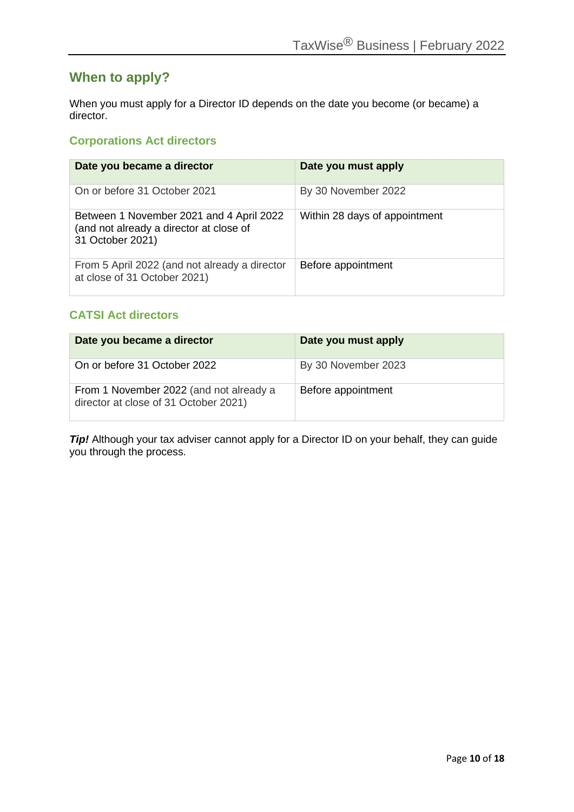### **When to apply?**

When you must apply for a Director ID depends on the date you become (or became) a director.

### **Corporations Act directors**

| Date you became a director                                                                              | Date you must apply           |
|---------------------------------------------------------------------------------------------------------|-------------------------------|
| On or before 31 October 2021                                                                            | By 30 November 2022           |
| Between 1 November 2021 and 4 April 2022<br>(and not already a director at close of<br>31 October 2021) | Within 28 days of appointment |
| From 5 April 2022 (and not already a director<br>at close of 31 October 2021)                           | Before appointment            |

### **CATSI Act directors**

| Date you became a director                                                       | Date you must apply |
|----------------------------------------------------------------------------------|---------------------|
| On or before 31 October 2022                                                     | By 30 November 2023 |
| From 1 November 2022 (and not already a<br>director at close of 31 October 2021) | Before appointment  |

**Tip!** Although your tax adviser cannot apply for a Director ID on your behalf, they can guide you through the process.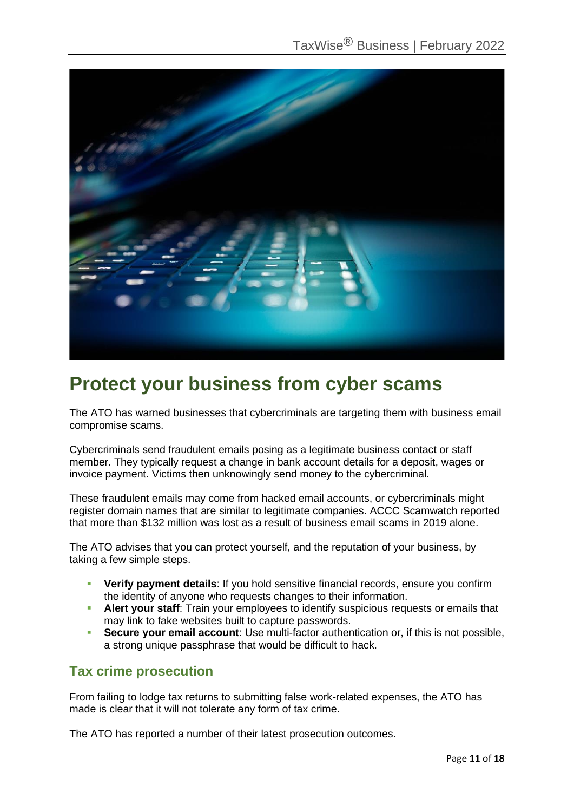

### **Protect your business from cyber scams**

The ATO has warned businesses that cybercriminals are targeting them with business email compromise scams.

Cybercriminals send fraudulent emails posing as a legitimate business contact or staff member. They typically request a change in bank account details for a deposit, wages or invoice payment. Victims then unknowingly send money to the cybercriminal.

These fraudulent emails may come from hacked email accounts, or cybercriminals might register domain names that are similar to legitimate companies. ACCC Scamwatch reported that more than \$132 million was lost as a result of business email scams in 2019 alone.

The ATO advises that you can protect yourself, and the reputation of your business, by taking a few simple steps.

- **Verify payment details:** If you hold sensitive financial records, ensure you confirm the identity of anyone who requests changes to their information.
- **EXTERT Alert your staff:** Train your employees to identify suspicious requests or emails that may link to fake websites built to capture passwords.
- **Secure your email account**: Use multi-factor authentication or, if this is not possible, a strong unique passphrase that would be difficult to hack.

### **Tax crime prosecution**

From failing to lodge tax returns to submitting false work-related expenses, the ATO has made is clear that it will not tolerate any form of tax crime.

The ATO has reported a number of their latest prosecution outcomes.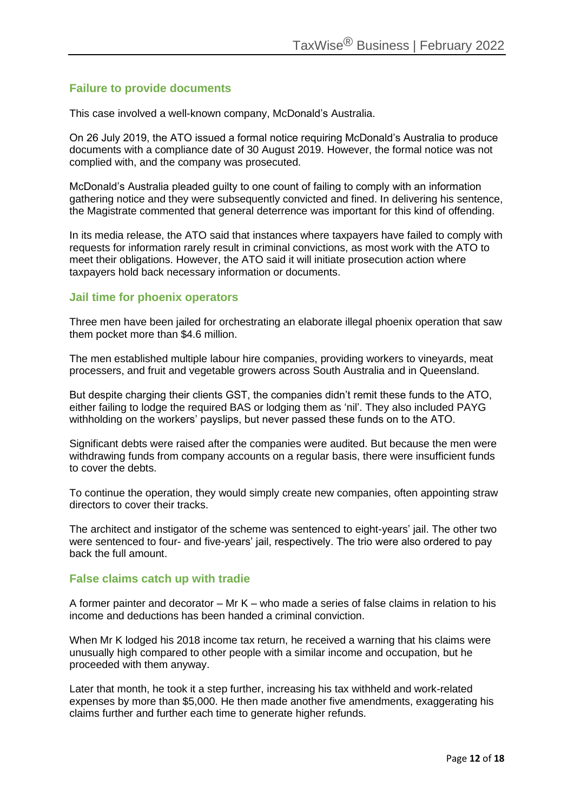### **Failure to provide documents**

This case involved a well-known company, McDonald's Australia.

On 26 July 2019, the ATO issued a formal notice requiring McDonald's Australia to produce documents with a compliance date of 30 August 2019. However, the formal notice was not complied with, and the company was prosecuted.

McDonald's Australia pleaded guilty to one count of failing to comply with an information gathering notice and they were subsequently convicted and fined. In delivering his sentence, the Magistrate commented that general deterrence was important for this kind of offending.

In its media release, the ATO said that instances where taxpayers have failed to comply with requests for information rarely result in criminal convictions, as most work with the ATO to meet their obligations. However, the ATO said it will initiate prosecution action where taxpayers hold back necessary information or documents.

#### **Jail time for phoenix operators**

Three men have been jailed for orchestrating an elaborate illegal phoenix operation that saw them pocket more than \$4.6 million.

The men established multiple labour hire companies, providing workers to vineyards, meat processers, and fruit and vegetable growers across South Australia and in Queensland.

But despite charging their clients GST, the companies didn't remit these funds to the ATO, either failing to lodge the required BAS or lodging them as 'nil'. They also included PAYG withholding on the workers' payslips, but never passed these funds on to the ATO.

Significant debts were raised after the companies were audited. But because the men were withdrawing funds from company accounts on a regular basis, there were insufficient funds to cover the debts.

To continue the operation, they would simply create new companies, often appointing straw directors to cover their tracks.

The architect and instigator of the scheme was sentenced to eight-years' jail. The other two were sentenced to four- and five-years' jail, respectively. The trio were also ordered to pay back the full amount.

#### **False claims catch up with tradie**

A former painter and decorator – Mr K – who made a series of false claims in relation to his income and deductions has been handed a criminal conviction.

When Mr K lodged his 2018 income tax return, he received a warning that his claims were unusually high compared to other people with a similar income and occupation, but he proceeded with them anyway.

Later that month, he took it a step further, increasing his tax withheld and work-related expenses by more than \$5,000. He then made another five amendments, exaggerating his claims further and further each time to generate higher refunds.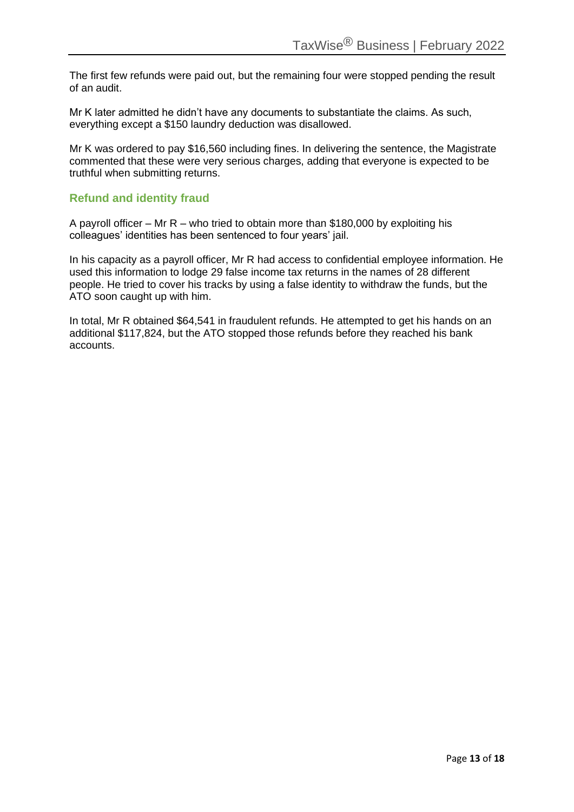The first few refunds were paid out, but the remaining four were stopped pending the result of an audit.

Mr K later admitted he didn't have any documents to substantiate the claims. As such, everything except a \$150 laundry deduction was disallowed.

Mr K was ordered to pay \$16,560 including fines. In delivering the sentence, the Magistrate commented that these were very serious charges, adding that everyone is expected to be truthful when submitting returns.

### **Refund and identity fraud**

A payroll officer – Mr R – who tried to obtain more than \$180,000 by exploiting his colleagues' identities has been sentenced to four years' jail.

In his capacity as a payroll officer, Mr R had access to confidential employee information. He used this information to lodge 29 false income tax returns in the names of 28 different people. He tried to cover his tracks by using a false identity to withdraw the funds, but the ATO soon caught up with him.

In total, Mr R obtained \$64,541 in fraudulent refunds. He attempted to get his hands on an additional \$117,824, but the ATO stopped those refunds before they reached his bank accounts.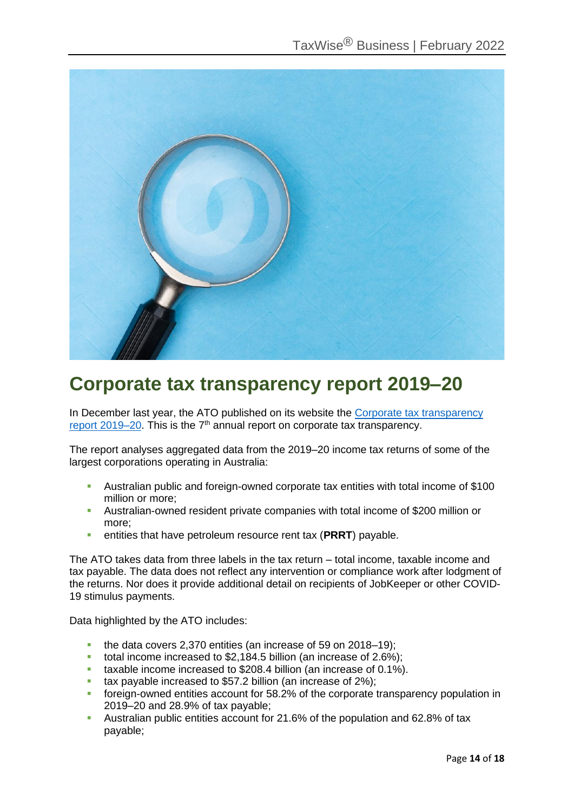

### **Corporate tax transparency report 2019–20**

In December last year, the ATO published on its website the Corporate tax transparency [report 2019–20.](https://www.ato.gov.au/Business/Large-business/In-detail/Tax-transparency/Corporate-tax-transparency-report-2019-20-income-year/) This is the  $7<sup>th</sup>$  annual report on corporate tax transparency.

The report analyses aggregated data from the 2019–20 income tax returns of some of the largest corporations operating in Australia:

- Australian public and foreign-owned corporate tax entities with total income of \$100 million or more;
- Australian-owned resident private companies with total income of \$200 million or more;
- entities that have petroleum resource rent tax (**PRRT**) payable.

The ATO takes data from three labels in the tax return – total income, taxable income and tax payable. The data does not reflect any intervention or compliance work after lodgment of the returns. Nor does it provide additional detail on recipients of JobKeeper or other COVID-19 stimulus payments.

Data highlighted by the ATO includes:

- the data covers 2,370 entities (an increase of 59 on 2018–19);
- total income increased to \$2,184.5 billion (an increase of 2.6%);
- **•** taxable income increased to \$208.4 billion (an increase of 0.1%).
- tax payable increased to \$57.2 billion (an increase of 2%);
- **•** foreign-owned entities account for 58.2% of the corporate transparency population in 2019–20 and 28.9% of tax payable;
- Australian public entities account for 21.6% of the population and 62.8% of tax payable;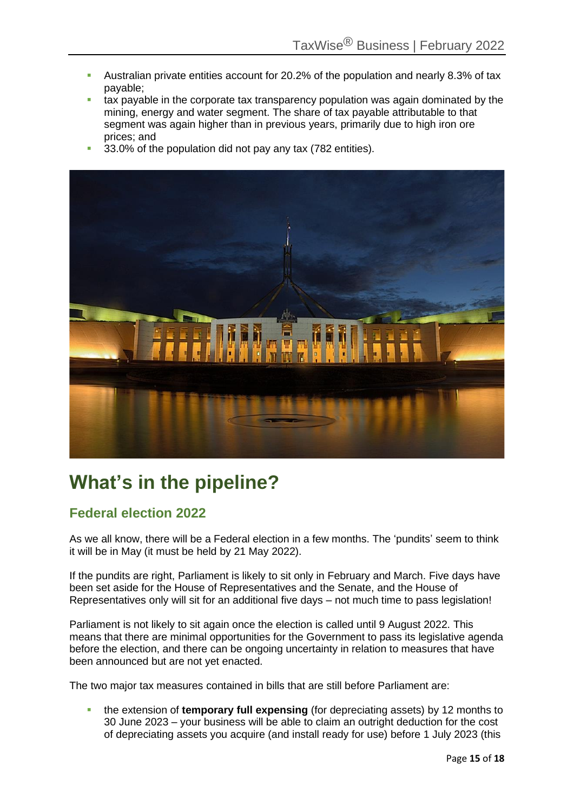- Australian private entities account for 20.2% of the population and nearly 8.3% of tax payable;
- tax payable in the corporate tax transparency population was again dominated by the mining, energy and water segment. The share of tax payable attributable to that segment was again higher than in previous years, primarily due to high iron ore prices; and
- 33.0% of the population did not pay any tax (782 entities).



## **What's in the pipeline?**

### **Federal election 2022**

As we all know, there will be a Federal election in a few months. The 'pundits' seem to think it will be in May (it must be held by 21 May 2022).

If the pundits are right, Parliament is likely to sit only in February and March. Five days have been set aside for the House of Representatives and the Senate, and the House of Representatives only will sit for an additional five days – not much time to pass legislation!

Parliament is not likely to sit again once the election is called until 9 August 2022. This means that there are minimal opportunities for the Government to pass its legislative agenda before the election, and there can be ongoing uncertainty in relation to measures that have been announced but are not yet enacted.

The two major tax measures contained in bills that are still before Parliament are:

the extension of **temporary full expensing** (for depreciating assets) by 12 months to 30 June 2023 – your business will be able to claim an outright deduction for the cost of depreciating assets you acquire (and install ready for use) before 1 July 2023 (this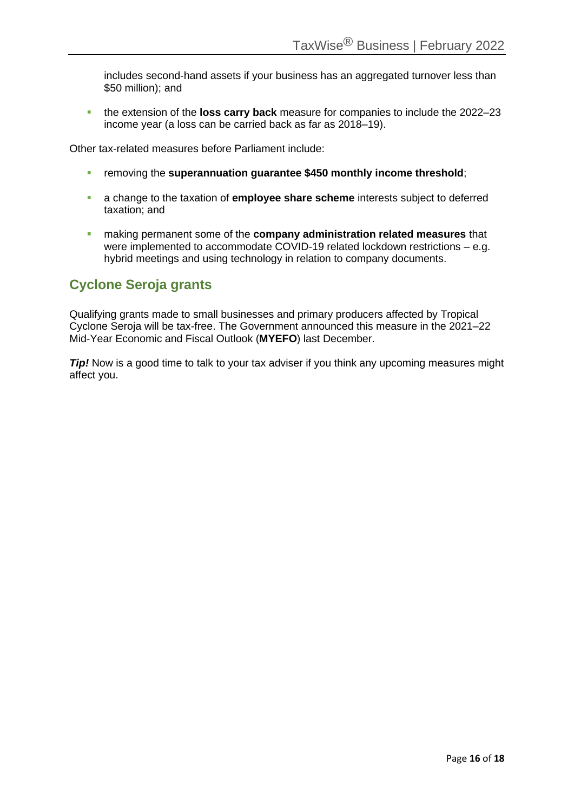includes second-hand assets if your business has an aggregated turnover less than \$50 million); and

▪ the extension of the **loss carry back** measure for companies to include the 2022–23 income year (a loss can be carried back as far as 2018–19).

Other tax-related measures before Parliament include:

- removing the **superannuation guarantee \$450 monthly income threshold**;
- a change to the taxation of **employee share scheme** interests subject to deferred taxation; and
- making permanent some of the **company administration related measures** that were implemented to accommodate COVID-19 related lockdown restrictions – e.g. hybrid meetings and using technology in relation to company documents.

### **Cyclone Seroja grants**

Qualifying grants made to small businesses and primary producers affected by Tropical Cyclone Seroja will be tax-free. The Government announced this measure in the 2021–22 Mid-Year Economic and Fiscal Outlook (**MYEFO**) last December.

*Tip!* Now is a good time to talk to your tax adviser if you think any upcoming measures might affect you.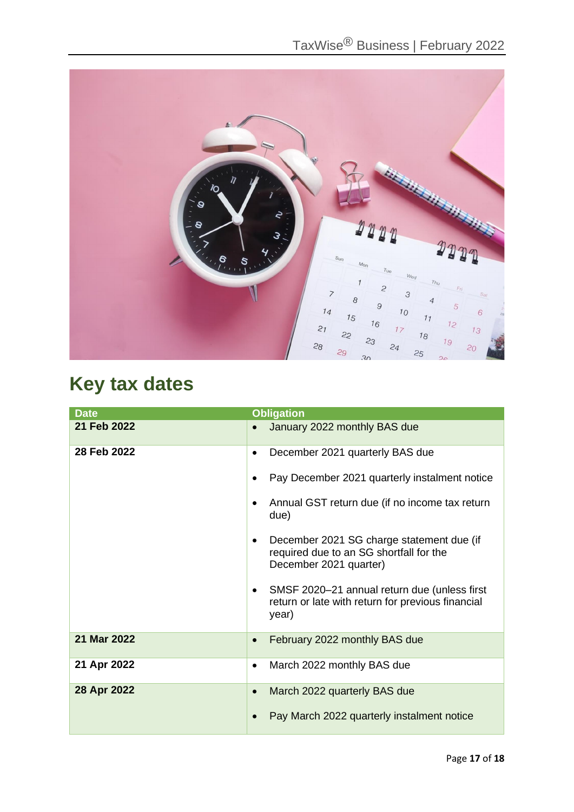

# **Key tax dates**

| <b>Date</b> | <b>Obligation</b>                                                                                                                                                                                                                                                                                                                                                                                                      |
|-------------|------------------------------------------------------------------------------------------------------------------------------------------------------------------------------------------------------------------------------------------------------------------------------------------------------------------------------------------------------------------------------------------------------------------------|
| 21 Feb 2022 | January 2022 monthly BAS due<br>$\bullet$                                                                                                                                                                                                                                                                                                                                                                              |
| 28 Feb 2022 | December 2021 quarterly BAS due<br>$\bullet$<br>Pay December 2021 quarterly instalment notice<br>٠<br>Annual GST return due (if no income tax return<br>due)<br>December 2021 SG charge statement due (if<br>$\bullet$<br>required due to an SG shortfall for the<br>December 2021 quarter)<br>SMSF 2020-21 annual return due (unless first<br>$\bullet$<br>return or late with return for previous financial<br>year) |
| 21 Mar 2022 | February 2022 monthly BAS due<br>$\bullet$                                                                                                                                                                                                                                                                                                                                                                             |
|             |                                                                                                                                                                                                                                                                                                                                                                                                                        |
| 21 Apr 2022 | March 2022 monthly BAS due<br>$\bullet$                                                                                                                                                                                                                                                                                                                                                                                |
| 28 Apr 2022 | March 2022 quarterly BAS due<br>$\bullet$<br>Pay March 2022 quarterly instalment notice                                                                                                                                                                                                                                                                                                                                |